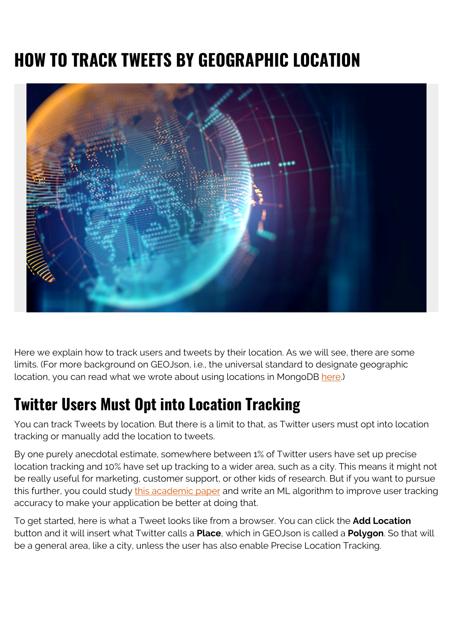# **HOW TO TRACK TWEETS BY GEOGRAPHIC LOCATION**



Here we explain how to track users and tweets by their location. As we will see, there are some limits. (For more background on GEOJson, i.e., the universal standard to designate geographic location, you can read what we wrote about using locations in MongoDB [here.](https://blogs.bmc.com/blogs/mongodb-geolocation-query-examples/))

## **Twitter Users Must Opt into Location Tracking**

You can track Tweets by location. But there is a limit to that, as Twitter users must opt into location tracking or manually add the location to tweets.

By one purely anecdotal estimate, somewhere between 1% of Twitter users have set up precise location tracking and 10% have set up tracking to a wider area, such as a city. This means it might not be really useful for marketing, customer support, or other kids of research. But if you want to pursue this further, you could study [this academic paper](https://arxiv.org/ftp/arxiv/papers/1403/1403.2345.pdf) and write an ML algorithm to improve user tracking accuracy to make your application be better at doing that.

To get started, here is what a Tweet looks like from a browser. You can click the **Add Location** button and it will insert what Twitter calls a **Place**, which in GEOJson is called a **Polygon**. So that will be a general area, like a city, unless the user has also enable Precise Location Tracking.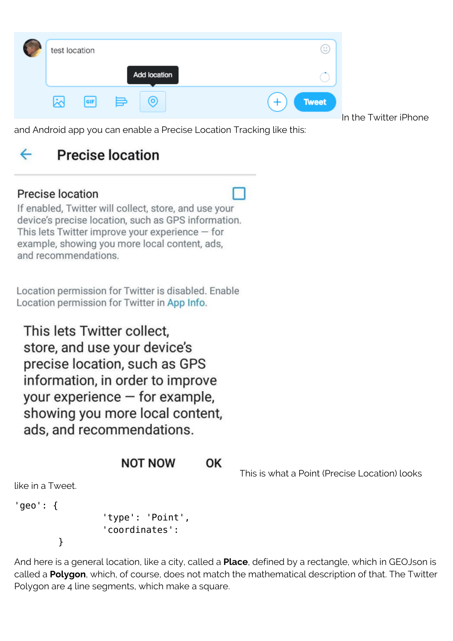| test location |     |              | $(\ddot{\phantom{a}})$ |
|---------------|-----|--------------|------------------------|
|               |     | Add location |                        |
| ابخا          | GIF | ≣<br>O       | <b>Tweet</b><br>١r     |

and Android app you can enable a Precise Location Tracking like this:

In the Twitter iPhone

### **Precise location** ←

## Precise location

If enabled, Twitter will collect, store, and use your device's precise location, such as GPS information. This lets Twitter improve your experience - for example, showing you more local content, ads, and recommendations.

Location permission for Twitter is disabled. Enable Location permission for Twitter in App Info.

This lets Twitter collect. store, and use your device's precise location, such as GPS information, in order to improve your experience  $-$  for example, showing you more local content, ads, and recommendations.

#### **NOT NOW** OK

This is what a Point (Precise Location) looks

like in a Tweet.

}

'geo': {

 'type': 'Point', 'coordinates':

And here is a general location, like a city, called a **Place**, defined by a rectangle, which in GEOJson is called a **Polygon**, which, of course, does not match the mathematical description of that. The Twitter Polygon are 4 line segments, which make a square.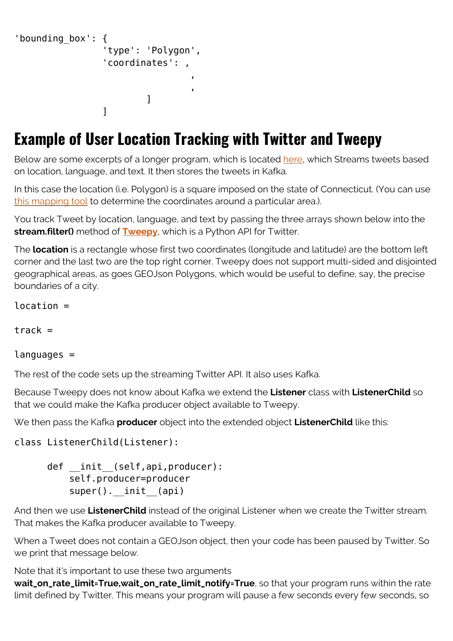```
'bounding_box': {
                                          'type': 'Polygon',
                                          'coordinates': ,
, where \mathcal{L} is the contract of \mathcal{L}, where \mathcal{L} is the contract of \mathcal{L}\sim 100 \sim 100 \sim 100 \sim 100 \sim 100 \sim 100 \sim 100 \sim 100 \sim 100 \sim 100 \sim 100 \sim 100 \sim 100 \sim 100 \sim 100 \sim 100 \sim 100 \sim 100 \sim 100 \sim 100 \sim 100 \sim 100 \sim 100 \sim 100 \sim 
\sim 1 \sim 1 \sim 1 \sim 1
```
## **Example of User Location Tracking with Twitter and Tweepy**

Below are some excerpts of a longer program, which is located [here,](https://raw.githubusercontent.com/werowe/geolocation/master/twitterLocation.py) which Streams tweets based on location, language, and text. It then stores the tweets in Kafka.

In this case the location (i.e. Polygon) is a square imposed on the state of Connecticut. (You can use [this mapping tool](http://geojson.io/#map=2/20.0/0.0) to determine the coordinates around a particular area.).

You track Tweet by location, language, and text by passing the three arrays shown below into the **stream.filter()** method of **[Tweepy](https://github.com/tweepy/tweepy)**, which is a Python API for Twitter.

The **location** is a rectangle whose first two coordinates (longitude and latitude) are the bottom left corner and the last two are the top right corner. Tweepy does not support multi-sided and disjointed geographical areas, as goes GEOJson Polygons, which would be useful to define, say, the precise boundaries of a city.

location =

 $track =$ 

### languages =

The rest of the code sets up the streaming Twitter API. It also uses Kafka.

Because Tweepy does not know about Kafka we extend the **Listener** class with **ListenerChild** so that we could make the Kafka producer object available to Tweepy.

We then pass the Kafka **producer** object into the extended object **ListenerChild** like this:

```
class ListenerChild(Listener):
```

```
def __init (self,api,producer):
     self.producer=producer
    super(). __init__(api)
```
And then we use **ListenerChild** instead of the original Listener when we create the Twitter stream. That makes the Kafka producer available to Tweepy.

When a Tweet does not contain a GEOJson object, then your code has been paused by Twitter. So we print that message below.

Note that it's important to use these two arguments

**wait\_on\_rate\_limit=True,wait\_on\_rate\_limit\_notify=True**, so that your program runs within the rate limit defined by Twitter. This means your program will pause a few seconds every few seconds, so